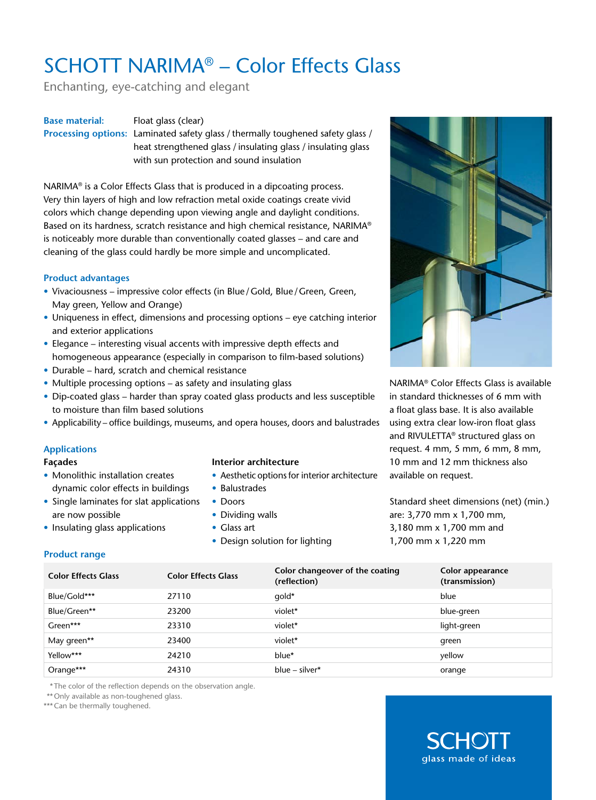# SCHOTT NARIMA® – Color Effects Glass

Enchanting, eye-catching and elegant

### **Base material:** Float glass (clear)

**Processing options:** Laminated safety glass / thermally toughened safety glass / heat strengthened glass / insulating glass / insulating glass with sun protection and sound insulation

NARIMA® is a Color Effects Glass that is produced in a dipcoating process. Very thin layers of high and low refraction metal oxide coatings create vivid colors which change depending upon viewing angle and daylight conditions. Based on its hardness, scratch resistance and high chemical resistance, NARIMA® is noticeably more durable than conventionally coated glasses – and care and cleaning of the glass could hardly be more simple and uncomplicated.

#### **Product advantages**

- Vivaciousness impressive color effects (in Blue/Gold, Blue/Green, Green, May green, Yellow and Orange)
- Uniqueness in effect, dimensions and processing options eye catching interior and exterior applications
- Elegance interesting visual accents with impressive depth effects and homogeneous appearance (especially in comparison to film-based solutions)
- Durable hard, scratch and chemical resistance
- Multiple processing options as safety and insulating glass
- Dip-coated glass harder than spray coated glass products and less susceptible to moisture than film based solutions
- Applicability office buildings, museums, and opera houses, doors and balustrades

## **Applications**

#### **Façades**

- Monolithic installation creates dynamic color effects in buildings
- Single laminates for slat applications are now possible
- Insulating glass applications
- **Interior architecture**
- Aesthetic options for interior architecture
- Balustrades
- Doors
- Dividing walls
- Glass art
- Design solution for lighting



NARIMA® Color Effects Glass is available in standard thicknesses of 6 mm with a float glass base. It is also available using extra clear low-iron float glass and RIVULETTA® structured glass on request. 4 mm, 5 mm, 6 mm, 8 mm, 10 mm and 12 mm thickness also available on request.

Standard sheet dimensions (net) (min.) are: 3,770 mm x 1,700 mm, 3,180 mm x 1,700 mm and 1,700 mm x 1,220 mm

## **Product range**

| <b>Color Effects Glass</b> | <b>Color Effects Glass</b> | Color changeover of the coating<br>(reflection) | Color appearance<br>(transmission) |
|----------------------------|----------------------------|-------------------------------------------------|------------------------------------|
| Blue/Gold***               | 27110                      | qold*                                           | blue                               |
| Blue/Green**               | 23200                      | violet*                                         | blue-green                         |
| Green***                   | 23310                      | violet*                                         | light-green                        |
| May green**                | 23400                      | violet*                                         | green                              |
| Yellow***                  | 24210                      | blue*                                           | yellow                             |
| Orange***                  | 24310                      | blue – silver*                                  | orange                             |

\*The color of the reflection depends on the observation angle.

\*\* Only available as non-toughened glass.

\*\*\* Can be thermally toughened.

# glass made of ideas